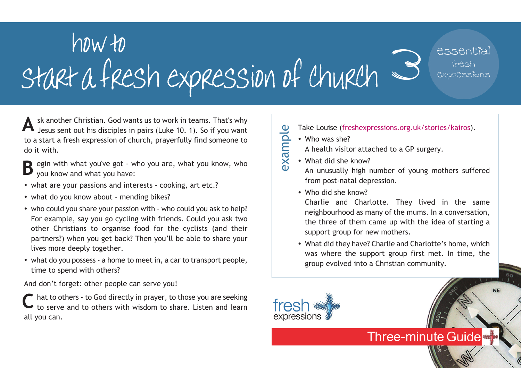## how to<br>- a fresh expression of church  $\supseteq$ essential fresh expressions start a fresh expression of church

A sk another Christian. God wants us to work in teams. That's why<br>Jesus sent out his disciples in pairs (Luke 10. 1). So if you want<br> $\frac{0}{2}$  Take Louise (freshexpressions.org.uk/stories/kairos). Jesus sent out his disciples in pairs (Luke 10. 1). So if you want to a start a fresh expression of church, prayerfully find someone to do it with.

- egin with what you've got who you are, what you know, who you know and what you have: **B**
- what are your passions and interests cooking, art etc.?
- what do you know about mending bikes?
- who could you share your passion with who could you ask to help? For example, say you go cycling with friends. Could you ask two other Christians to organise food for the cyclists (and their partners?) when you get back? Then you'll be able to share your lives more deeply together.
- what do you possess a home to meet in, a car to transport people, time to spend with others?

And don't forget: other people can serve you!

hat to others - to God directly in prayer, to those you are seeking to serve and to others with wisdom to share. Listen and learn all you can. **C**

- example
	- Who was she?
		- A health visitor attached to a GP surgery.
	- What did she know?
	- An unusually high number of young mothers suffered from post-natal depression.
	- Who did she know?

Charlie and Charlotte. They lived in the same neighbourhood as many of the mums. In a conversation, the three of them came up with the idea of starting a support group for new mothers.

• What did they have? Charlie and Charlotte's home, which was where the support group first met. In time, the group evolved into a Christian community.

**Three-minute Guide** 

**NE**